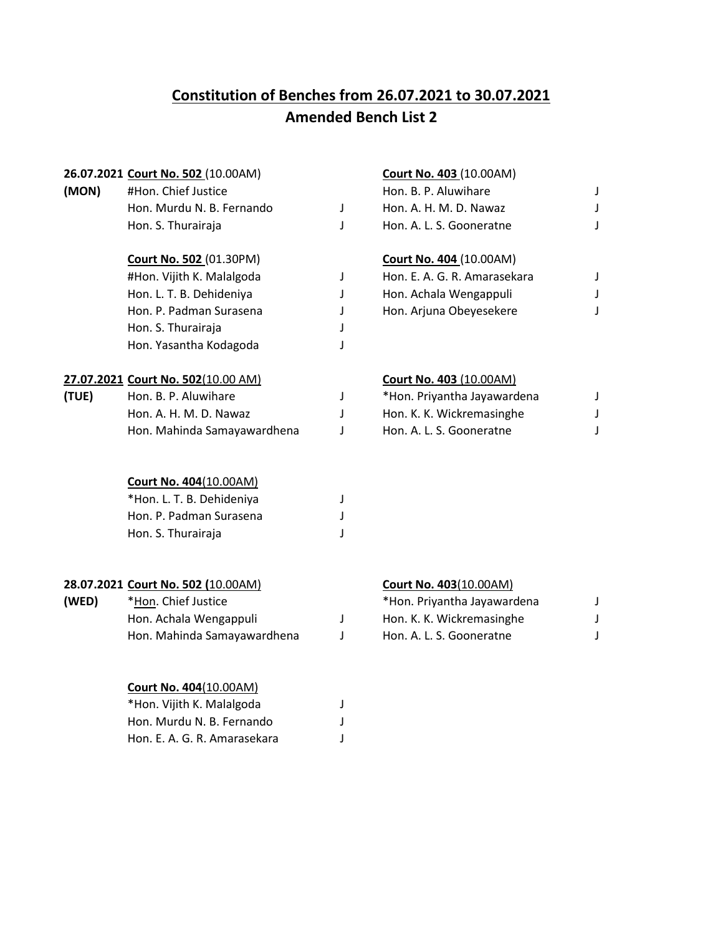# **Constitution of Benches from 26.07.2021 to 30.07.2021 Amended Bench List 2**

### **26.07.2021 Court No. 502** (10.00AM) **Court No. 403** (10.00AM)

| (MON) | #Hon. Chief Justice       | Hon. B. P. Aluwihare     |  |  |
|-------|---------------------------|--------------------------|--|--|
|       | Hon. Murdu N. B. Fernando | Hon. A. H. M. D. Nawaz   |  |  |
|       | Hon. S. Thurairaja        | Hon. A. L. S. Gooneratne |  |  |

| #Hon. Vijith K. Malalgoda |              |
|---------------------------|--------------|
| Hon. L. T. B. Dehideniya  | $\mathbf{I}$ |
| Hon. P. Padman Surasena   |              |
| Hon. S. Thurairaja        | J            |
| Hon. Yasantha Kodagoda    |              |

### **27.07.2021 Court No. 502**(10.00 AM) **Court No. 403** (10.00AM)

| (TUE) | Hon. B. P. Aluwihare        | *Hon. Priyantha Jayawardena |  |
|-------|-----------------------------|-----------------------------|--|
|       | Hon. A. H. M. D. Nawaz      | Hon. K. K. Wickremasinghe   |  |
|       | Hon. Mahinda Samayawardhena | Hon. A. L. S. Gooneratne    |  |

## **Court No. 404**(10.00AM)

| *Hon. L. T. B. Dehideniya |  |
|---------------------------|--|
| Hon. P. Padman Surasena   |  |
| Hon. S. Thurairaja        |  |

### **28.07.2021 Court No. 502 (**10.00AM) **Court No. 403**(10.00AM)

| (WED) | *Hon. Chief Just |
|-------|------------------|
|-------|------------------|

| Hon. Achala Wengappuli      |
|-----------------------------|
| Hon. Mahinda Samayawardhena |

### **Court No. 404**(10.00AM)

| *Hon. Vijith K. Malalgoda    |  |
|------------------------------|--|
| Hon. Murdu N. B. Fernando    |  |
| Hon. E. A. G. R. Amarasekara |  |

| #Hon. Chief Justice       | Hon. B. P. Aluwihare     |  |
|---------------------------|--------------------------|--|
| Hon. Murdu N. B. Fernando | Hon. A. H. M. D. Nawaz   |  |
| Hon. S. Thurairaja        | Hon. A. L. S. Gooneratne |  |

### **Court No. 502** (01.30PM) **Court No. 404** (10.00AM)

| #Hon. Vijith K. Malalgoda | Hon. E. A. G. R. Amarasekara |  |
|---------------------------|------------------------------|--|
| Hon. L. T. B. Dehideniya  | Hon. Achala Wengappuli       |  |
| Hon. P. Padman Surasena   | Hon. Arjuna Obeyesekere      |  |

| Hon. B. P. Aluwihare        | *Hon. Priyantha Jayawardena |  |
|-----------------------------|-----------------------------|--|
| Hon. A. H. M. D. Nawaz      | Hon. K. K. Wickremasinghe   |  |
| Hon. Mahinda Samayawardhena | Hon. A. L. S. Gooneratne    |  |

| (WED) | *Hon. Chief Justice         | *Hon. Priyantha Jayawardena |                           |  |
|-------|-----------------------------|-----------------------------|---------------------------|--|
|       | Hon. Achala Wengappuli      |                             | Hon. K. K. Wickremasinghe |  |
|       | Hon. Mahinda Samayawardhena |                             | Hon. A. L. S. Gooneratne  |  |